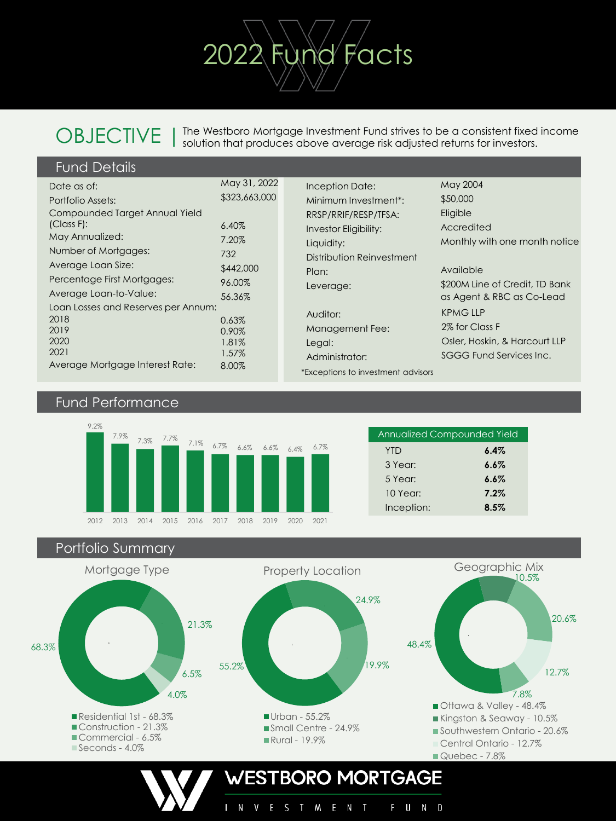# **OBJECTIVE**

The Westboro Mortgage Investment Fund strives to be a consistent fixed income solution that produces above average risk adjusted returns for investors.

2022 Fund Facts

| <b>Fund Details</b> |
|---------------------|
|                     |

| Date as of:                         | May 31, 2022  |
|-------------------------------------|---------------|
| Portfolio Assets:                   | \$323,663,000 |
| Compounded Target Annual Yield      |               |
| $(Class F)$ :                       | 6.40%         |
| May Annualized:                     | 7.20%         |
| Number of Mortgages:                | 732           |
| Average Loan Size:                  | \$442,000     |
| Percentage First Mortgages:         | 96.00%        |
| Average Loan-to-Value:              | 56.36%        |
| Loan Losses and Reserves per Annum: |               |
| 2018                                | 0.63%         |
| 2019                                | 0.90%         |
| 2020                                | 1.81%         |
| 2021                                | 1.57%         |
| Average Mortgage Interest Rate:     | 8.00%         |

| Inception Date:                    | May 2004                       |
|------------------------------------|--------------------------------|
| Minimum Investment <sup>*</sup>    | \$50,000                       |
| RRSP/RRIF/RESP/TFSA:               | Eligible                       |
| <b>Investor Eligibility:</b>       | Accredited                     |
| Liquidity:                         | Monthly with one month notice  |
| Distribution Reinvestment          |                                |
| Plan:                              | Available                      |
| Leverage:                          | \$200M Line of Credit, TD Bank |
|                                    | as Agent & RBC as Co-Lead      |
| Auditor:                           | <b>KPMGLLP</b>                 |
| Management Fee:                    | 2% for Class F                 |
| Legal:                             | Osler, Hoskin, & Harcourt LLP  |
| Administrator:                     | SGGG Fund Services Inc.        |
| *Exceptions to investment advisors |                                |

### Fund Performance



| <b>Annualized Compounded Yield</b> |         |  |  |  |  |  |
|------------------------------------|---------|--|--|--|--|--|
| <b>YTD</b>                         | 6.4%    |  |  |  |  |  |
| 3 Year:                            | $6.6\%$ |  |  |  |  |  |
| 5 Year:                            | $6.6\%$ |  |  |  |  |  |
| 10 Year:                           | 7.2%    |  |  |  |  |  |
| Inception:                         | 8.5%    |  |  |  |  |  |

Portfolio Summary